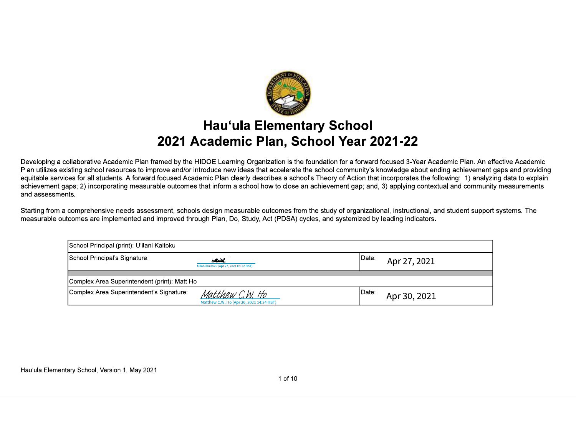

### **Hau'ula Elementary School** 2021 Academic Plan, School Year 2021-22

Developing a collaborative Academic Plan framed by the HIDOE Learning Organization is the foundation for a forward focused 3-Year Academic Plan. An effective Academic Plan utilizes existing school resources to improve and/or introduce new ideas that accelerate the school community's knowledge about ending achievement gaps and providing equitable services for all students. A forward focused Academic Plan clearly describes a school's Theory of Action that incorporates the following: 1) analyzing data to explain achievement gaps; 2) incorporating measurable outcomes that inform a school how to close an achievement gap; and, 3) applying contextual and community measurements and assessments.

Starting from a comprehensive needs assessment, schools design measurable outcomes from the study of organizational, instructional, and student support systems. The measurable outcomes are implemented and improved through Plan, Do, Study, Act (PDSA) cycles, and systemized by leading indicators.

| School Principal (print): U'ilani Kaitoku    |                                                             |        |              |  |  |
|----------------------------------------------|-------------------------------------------------------------|--------|--------------|--|--|
| School Principal's Signature:                | Warth.<br>Uilani Kaitoku (Apr 27, 2021 09:12 HST)           | IDate: | Apr 27, 2021 |  |  |
| Complex Area Superintendent (print): Matt Ho |                                                             |        |              |  |  |
| Complex Area Superintendent's Signature:     | Matthew C.W. Ho<br>Matthew C.W. Ho (Apr 30, 2021 14:34 HST) | IDate: | Apr 30, 2021 |  |  |

Hau'ula Elementary School, Version 1, May 2021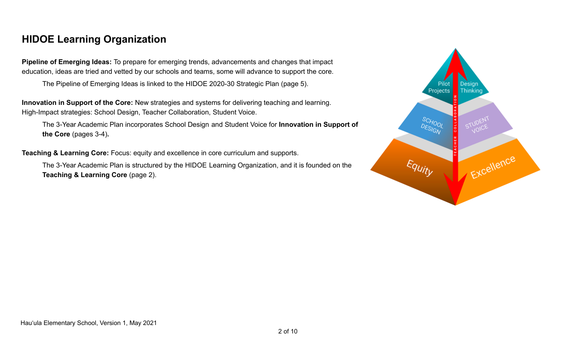# **HIDOE Learning Organization**

**Pipeline of Emerging Ideas:** To prepare for emerging trends, advancements and changes that impact education, ideas are tried and vetted by our schools and teams, some will advance to support the core.

The Pipeline of Emerging Ideas is linked to the HIDOE 2020-30 Strategic Plan (page 5).

**Innovation in Support of the Core:** New strategies and systems for delivering teaching and learning. High-Impact strategies: School Design, Teacher Collaboration, Student Voice.

The 3-Year Academic Plan incorporates School Design and Student Voice for **Innovation in Support of the Core** (pages 3-4)**.**

**Teaching & Learning Core:** Focus: equity and excellence in core curriculum and supports.

The 3-Year Academic Plan is structured by the HIDOE Learning Organization, and it is founded on the **Teaching & Learning Core** (page 2).

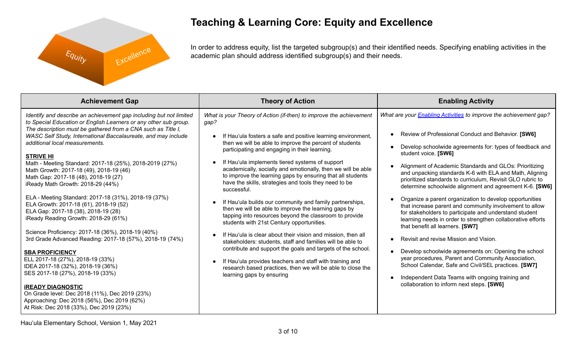

# **Teaching & Learning Core: Equity and Excellence**

In order to address equity, list the targeted subgroup(s) and their identified needs. Specifying enabling activities in the academic plan should address identified subgroup(s) and their needs.

| <b>Achievement Gap</b>                                                                                                                                                                                                                                                                                                                                                                                                                                                                                                                                                                                                                                                                                                                                                                                                                                                                                                                                                                                                                                                                                                            | <b>Theory of Action</b>                                                                                                                                                                                                                                                                                                                                                                                                                                                                                                                                                                                                                                                                                                                                                                                                                                                                                                                                                                                                                                                                         | <b>Enabling Activity</b>                                                                                                                                                                                                                                                                                                                                                                                                                                                                                                                                                                                                                                                                                                                                                                                                                                                                                                                                                                                                                                             |
|-----------------------------------------------------------------------------------------------------------------------------------------------------------------------------------------------------------------------------------------------------------------------------------------------------------------------------------------------------------------------------------------------------------------------------------------------------------------------------------------------------------------------------------------------------------------------------------------------------------------------------------------------------------------------------------------------------------------------------------------------------------------------------------------------------------------------------------------------------------------------------------------------------------------------------------------------------------------------------------------------------------------------------------------------------------------------------------------------------------------------------------|-------------------------------------------------------------------------------------------------------------------------------------------------------------------------------------------------------------------------------------------------------------------------------------------------------------------------------------------------------------------------------------------------------------------------------------------------------------------------------------------------------------------------------------------------------------------------------------------------------------------------------------------------------------------------------------------------------------------------------------------------------------------------------------------------------------------------------------------------------------------------------------------------------------------------------------------------------------------------------------------------------------------------------------------------------------------------------------------------|----------------------------------------------------------------------------------------------------------------------------------------------------------------------------------------------------------------------------------------------------------------------------------------------------------------------------------------------------------------------------------------------------------------------------------------------------------------------------------------------------------------------------------------------------------------------------------------------------------------------------------------------------------------------------------------------------------------------------------------------------------------------------------------------------------------------------------------------------------------------------------------------------------------------------------------------------------------------------------------------------------------------------------------------------------------------|
| Identify and describe an achievement gap including but not limited<br>to Special Education or English Learners or any other sub group.<br>The description must be gathered from a CNA such as Title I,<br>WASC Self Study, International Baccalaureate, and may include<br>additional local measurements.<br><b>STRIVE HI</b><br>Math - Meeting Standard: 2017-18 (25%), 2018-2019 (27%)<br>Math Growth: 2017-18 (49), 2018-19 (46)<br>Math Gap: 2017-18 (48), 2018-19 (27)<br>iReady Math Growth: 2018-29 (44%)<br>ELA - Meeting Standard: 2017-18 (31%), 2018-19 (37%)<br>ELA Growth: 2017-18 (61), 2018-19 (52)<br>ELA Gap: 2017-18 (38), 2018-19 (28)<br>iReady Reading Growth: 2018-29 (61%)<br>Science Proficiency: 2017-18 (36%), 2018-19 (40%)<br>3rd Grade Advanced Reading: 2017-18 (57%), 2018-19 (74%)<br><b>SBA PROFICIENCY</b><br>ELL 2017-18 (27%), 2018-19 (33%)<br>IDEA 2017-18 (32%), 2018-19 (36%)<br>SES 2017-18 (27%), 2018-19 (33%)<br><b>IREADY DIAGNOSTIC</b><br>On Grade level: Dec 2018 (11%), Dec 2019 (23%)<br>Approaching: Dec 2018 (56%), Dec 2019 (62%)<br>At Risk: Dec 2018 (33%), Dec 2019 (23%) | What is your Theory of Action (if-then) to improve the achievement<br>gap?<br>If Hau'ula fosters a safe and positive learning environment,<br>then we will be able to improve the percent of students<br>participating and engaging in their learning.<br>If Hau'ula implements tiered systems of support<br>academically, socially and emotionally, then we will be able<br>to improve the learning gaps by ensuring that all students<br>have the skills, strategies and tools they need to be<br>successful.<br>If Hau'ula builds our community and family partnerships,<br>then we will be able to improve the learning gaps by<br>tapping into resources beyond the classroom to provide<br>students with 21st Century opportunities.<br>If Hau'ula is clear about their vision and mission, then all<br>stakeholders: students, staff and families will be able to<br>contribute and support the goals and targets of the school.<br>If Hau'ula provides teachers and staff with training and<br>research based practices, then we will be able to close the<br>learning gaps by ensuring | What are your <b>Enabling Activities</b> to improve the achievement gap?<br>Review of Professional Conduct and Behavior. [SW6]<br>Develop schoolwide agreements for: types of feedback and<br>student voice. [SW6]<br>Alignment of Academic Standards and GLOs: Prioritizing<br>and unpacking standards K-6 with ELA and Math, Aligning<br>prioritized standards to curriculum, Revisit GLO rubric to<br>determine schoolwide alignment and agreement K-6. [SW6]<br>Organize a parent organization to develop opportunities<br>that increase parent and community involvement to allow<br>for stakeholders to participate and understand student<br>learning needs in order to strengthen collaborative efforts<br>that benefit all learners. [SW7]<br>Revisit and revise Mission and Vision.<br>Develop schoolwide agreements on: Opening the school<br>year procedures, Parent and Community Association,<br>School Calendar, Safe and Civil/SEL practices. [SW7]<br>Independent Data Teams with ongoing training and<br>collaboration to inform next steps. [SW6] |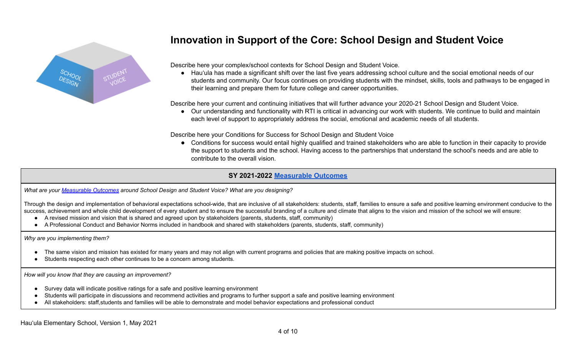

# **Innovation in Support of the Core: School Design and Student Voice**

Describe here your complex/school contexts for School Design and Student Voice.

● Hau'ula has made a significant shift over the last five years addressing school culture and the social emotional needs of our students and community. Our focus continues on providing students with the mindset, skills, tools and pathways to be engaged in their learning and prepare them for future college and career opportunities.

Describe here your current and continuing initiatives that will further advance your 2020-21 School Design and Student Voice.

● Our understanding and functionality with RTI is critical in advancing our work with students. We continue to build and maintain each level of support to appropriately address the social, emotional and academic needs of all students.

Describe here your Conditions for Success for School Design and Student Voice

● Conditions for success would entail highly qualified and trained stakeholders who are able to function in their capacity to provide the support to students and the school. Having access to the partnerships that understand the school's needs and are able to contribute to the overall vision.

### **SY 2021-2022 [Measurable Outcomes](https://docs.google.com/document/d/1ZUJS1Zd6kueCzag9Ja-rDCrDVyaJFBmV-dJgk6fY1X8/edit)**

*What are your [Measurable](https://docs.google.com/document/d/1ZUJS1Zd6kueCzag9Ja-rDCrDVyaJFBmV-dJgk6fY1X8) Outcomes around School Design and Student Voice? What are you designing?*

Through the design and implementation of behavioral expectations school-wide, that are inclusive of all stakeholders: students, staff, families to ensure a safe and positive learning environment conducive to the success, achievement and whole child development of every student and to ensure the successful branding of a culture and climate that aligns to the vision and mission of the school we will ensure:

- A revised mission and vision that is shared and agreed upon by stakeholders (parents, students, staff, community)
- A Professional Conduct and Behavior Norms included in handbook and shared with stakeholders (parents, students, staff, community)

*Why are you implementing them?*

- The same vision and mission has existed for many years and may not align with current programs and policies that are making positive impacts on school.
- Students respecting each other continues to be a concern among students.

*How will you know that they are causing an improvement?*

- Survey data will indicate positive ratings for a safe and positive learning environment
- Students will participate in discussions and recommend activities and programs to further support a safe and positive learning environment
- All stakeholders: staff, students and families will be able to demonstrate and model behavior expectations and professional conduct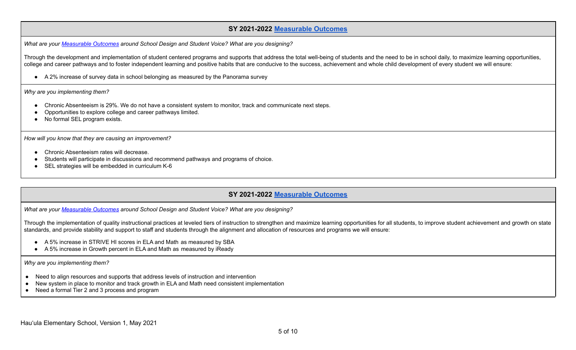#### **SY 2021-2022 [Measurable Outcomes](https://docs.google.com/document/d/1ZUJS1Zd6kueCzag9Ja-rDCrDVyaJFBmV-dJgk6fY1X8/edit)**

*What are your [Measurable](https://docs.google.com/document/d/1ZUJS1Zd6kueCzag9Ja-rDCrDVyaJFBmV-dJgk6fY1X8) Outcomes around School Design and Student Voice? What are you designing?*

Through the development and implementation of student centered programs and supports that address the total well-being of students and the need to be in school daily, to maximize learning opportunities, college and career pathways and to foster independent learning and positive habits that are conducive to the success, achievement and whole child development of every student we will ensure:

● A 2% increase of survey data in school belonging as measured by the Panorama survey

*Why are you implementing them?*

- Chronic Absenteeism is 29%. We do not have a consistent system to monitor, track and communicate next steps.
- Opportunities to explore college and career pathways limited.
- No formal SEL program exists.

*How will you know that they are causing an improvement?*

- Chronic Absenteeism rates will decrease.
- Students will participate in discussions and recommend pathways and programs of choice.
- SEL strategies will be embedded in curriculum K-6

### **SY 2021-2022 [Measurable Outcomes](https://docs.google.com/document/d/1ZUJS1Zd6kueCzag9Ja-rDCrDVyaJFBmV-dJgk6fY1X8/edit)**

*What are your [Measurable](https://docs.google.com/document/d/1ZUJS1Zd6kueCzag9Ja-rDCrDVyaJFBmV-dJgk6fY1X8) Outcomes around School Design and Student Voice? What are you designing?*

Through the implementation of quality instructional practices at leveled tiers of instruction to strengthen and maximize learning opportunities for all students, to improve student achievement and growth on state standards, and provide stability and support to staff and students through the alignment and allocation of resources and programs we will ensure:

- A 5% increase in STRIVE HI scores in ELA and Math as measured by SBA
- A 5% increase in Growth percent in ELA and Math as measured by iReady

*Why are you implementing them?*

- Need to align resources and supports that address levels of instruction and intervention
- New system in place to monitor and track growth in ELA and Math need consistent implementation
- Need a formal Tier 2 and 3 process and program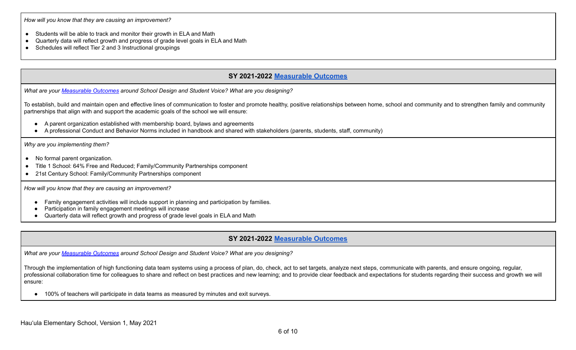*How will you know that they are causing an improvement?*

- Students will be able to track and monitor their growth in ELA and Math
- Quarterly data will reflect growth and progress of grade level goals in ELA and Math
- Schedules will reflect Tier 2 and 3 Instructional groupings

### **SY 2021-2022 [Measurable Outcomes](https://docs.google.com/document/d/1ZUJS1Zd6kueCzag9Ja-rDCrDVyaJFBmV-dJgk6fY1X8/edit)**

*What are your [Measurable](https://docs.google.com/document/d/1ZUJS1Zd6kueCzag9Ja-rDCrDVyaJFBmV-dJgk6fY1X8) Outcomes around School Design and Student Voice? What are you designing?*

To establish, build and maintain open and effective lines of communication to foster and promote healthy, positive relationships between home, school and community and to strengthen family and community partnerships that align with and support the academic goals of the school we will ensure:

- A parent organization established with membership board, bylaws and agreements
- A professional Conduct and Behavior Norms included in handbook and shared with stakeholders (parents, students, staff, community)

*Why are you implementing them?*

- No formal parent organization.
- Title 1 School: 64% Free and Reduced; Family/Community Partnerships component
- 21st Century School: Family/Community Partnerships component

*How will you know that they are causing an improvement?*

- Family engagement activities will include support in planning and participation by families.
- Participation in family engagement meetings will increase
- Quarterly data will reflect growth and progress of grade level goals in ELA and Math

### **SY 2021-2022 [Measurable Outcomes](https://docs.google.com/document/d/1ZUJS1Zd6kueCzag9Ja-rDCrDVyaJFBmV-dJgk6fY1X8/edit)**

*What are your [Measurable](https://docs.google.com/document/d/1ZUJS1Zd6kueCzag9Ja-rDCrDVyaJFBmV-dJgk6fY1X8) Outcomes around School Design and Student Voice? What are you designing?*

Through the implementation of high functioning data team systems using a process of plan, do, check, act to set targets, analyze next steps, communicate with parents, and ensure ongoing, regular, professional collaboration time for colleagues to share and reflect on best practices and new learning; and to provide clear feedback and expectations for students regarding their success and growth we will ensure:

● 100% of teachers will participate in data teams as measured by minutes and exit surveys.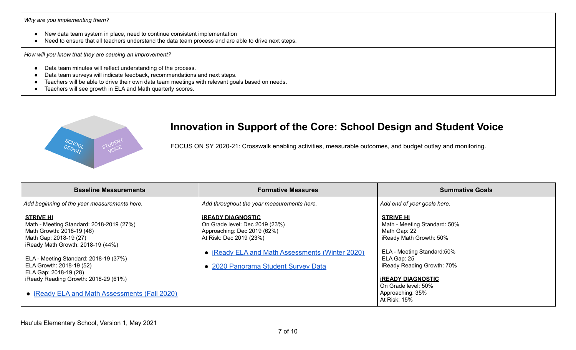#### *Why are you implementing them?*

- New data team system in place, need to continue consistent implementation
- Need to ensure that all teachers understand the data team process and are able to drive next steps.

*How will you know that they are causing an improvement?*

- Data team minutes will reflect understanding of the process.
- Data team surveys will indicate feedback, recommendations and next steps.
- Teachers will be able to drive their own data team meetings with relevant goals based on needs.
- Teachers will see growth in ELA and Math quarterly scores.



### **Innovation in Support of the Core: School Design and Student Voice**

FOCUS ON SY 2020-21: Crosswalk enabling activities, measurable outcomes, and budget outlay and monitoring.

| <b>Baseline Measurements</b>                                                                                                                                                                                                                                                                   | <b>Formative Measures</b>                                                                                                                                                                                      | <b>Summative Goals</b>                                                                                                                                                                             |
|------------------------------------------------------------------------------------------------------------------------------------------------------------------------------------------------------------------------------------------------------------------------------------------------|----------------------------------------------------------------------------------------------------------------------------------------------------------------------------------------------------------------|----------------------------------------------------------------------------------------------------------------------------------------------------------------------------------------------------|
| Add beginning of the year measurements here.                                                                                                                                                                                                                                                   | Add throughout the year measurements here.                                                                                                                                                                     | Add end of year goals here.                                                                                                                                                                        |
| <b>STRIVE HI</b><br>Math - Meeting Standard: 2018-2019 (27%)<br>Math Growth: 2018-19 (46)<br>Math Gap: 2018-19 (27)<br>iReady Math Growth: 2018-19 (44%)<br>ELA - Meeting Standard: 2018-19 (37%)<br>ELA Growth: 2018-19 (52)<br>ELA Gap: 2018-19 (28)<br>iReady Reading Growth: 2018-29 (61%) | <b>IREADY DIAGNOSTIC</b><br>On Grade level: Dec 2019 (23%)<br>Approaching: Dec 2019 (62%)<br>At Risk: Dec 2019 (23%)<br>• iReady ELA and Math Assessments (Winter 2020)<br>• 2020 Panorama Student Survey Data | <b>STRIVE HI</b><br>Math - Meeting Standard: 50%<br>Math Gap: 22<br>iReady Math Growth: 50%<br>ELA - Meeting Standard:50%<br>ELA Gap: 25<br>iReady Reading Growth: 70%<br><b>IREADY DIAGNOSTIC</b> |
| • iReady ELA and Math Assessments (Fall 2020)                                                                                                                                                                                                                                                  |                                                                                                                                                                                                                | On Grade level: 50%<br>Approaching: 35%<br>At Risk: 15%                                                                                                                                            |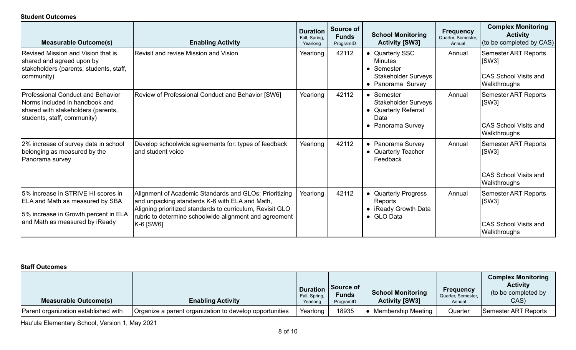#### **Student Outcomes**

| <b>Measurable Outcome(s)</b>                                                                                                                    | <b>Enabling Activity</b>                                                                                                                                                                                                                     | <b>Duration</b><br>Fall, Spring,<br>Yearlong | Source of<br><b>Funds</b><br>ProgramID | <b>School Monitoring</b><br><b>Activity [SW3]</b>                                                  | <b>Frequency</b><br>Quarter, Semester,<br>Annual | <b>Complex Monitoring</b><br><b>Activity</b><br>(to be completed by CAS)             |
|-------------------------------------------------------------------------------------------------------------------------------------------------|----------------------------------------------------------------------------------------------------------------------------------------------------------------------------------------------------------------------------------------------|----------------------------------------------|----------------------------------------|----------------------------------------------------------------------------------------------------|--------------------------------------------------|--------------------------------------------------------------------------------------|
| Revised Mission and Vision that is<br>shared and agreed upon by<br>stakeholders (parents, students, staff,<br>community)                        | <b>Revisit and revise Mission and Vision</b>                                                                                                                                                                                                 | Yearlong                                     | 42112                                  | • Quarterly SSC<br><b>Minutes</b><br>• Semester<br><b>Stakeholder Surveys</b><br>• Panorama Survey | Annual                                           | <b>Semester ART Reports</b><br>[SW3]<br><b>CAS School Visits and</b><br>Walkthroughs |
| Professional Conduct and Behavior<br>Norms included in handbook and<br>shared with stakeholders (parents,<br>students, staff, community)        | Review of Professional Conduct and Behavior [SW6]                                                                                                                                                                                            | Yearlong                                     | 42112                                  | • Semester<br><b>Stakeholder Surveys</b><br>• Quarterly Referral<br>Data<br>• Panorama Survey      | Annual                                           | <b>Semester ART Reports</b><br>[SW3]<br><b>CAS School Visits and</b><br>Walkthroughs |
| 2% increase of survey data in school<br>belonging as measured by the<br>Panorama survey                                                         | Develop schoolwide agreements for: types of feedback<br>and student voice                                                                                                                                                                    | Yearlong                                     | 42112                                  | • Panorama Survey<br>• Quarterly Teacher<br>Feedback                                               | Annual                                           | <b>Semester ART Reports</b><br>[SW3]<br><b>CAS School Visits and</b><br>Walkthroughs |
| 5% increase in STRIVE HI scores in<br>ELA and Math as measured by SBA<br>5% increase in Growth percent in ELA<br>and Math as measured by iReady | Alignment of Academic Standards and GLOs: Prioritizing<br>and unpacking standards K-6 with ELA and Math,<br>Aligning prioritized standards to curriculum, Revisit GLO<br>rubric to determine schoolwide alignment and agreement<br>K-6 [SW6] | Yearlong                                     | 42112                                  | • Quarterly Progress<br>Reports<br>• iReady Growth Data<br>• GLO Data                              | Annual                                           | Semester ART Reports<br>[SW3]<br><b>CAS School Visits and</b><br>Walkthroughs        |

### **Staff Outcomes**

| <b>Measurable Outcome(s)</b>         | <b>Enabling Activity</b>                                | Fall, Spring,<br>Yearlong | <b>Duration   Source of  </b><br><b>Funds</b><br>ProgramID | <b>School Monitoring</b><br><b>Activity [SW3]</b> | <b>Frequency</b><br>  Quarter, Semester,<br>Annual | <b>Complex Monitoring</b><br><b>Activity</b><br>(to be completed by<br>CAS) |
|--------------------------------------|---------------------------------------------------------|---------------------------|------------------------------------------------------------|---------------------------------------------------|----------------------------------------------------|-----------------------------------------------------------------------------|
| Parent organization established with | Organize a parent organization to develop opportunities | Yearlong                  | 18935                                                      | Membership Meeting                                | Quarter                                            | Semester ART Reports                                                        |

Hau'ula Elementary School, Version 1, May 2021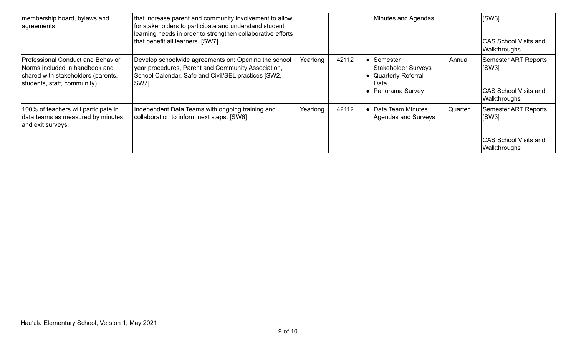| membership board, bylaws and<br>agreements                                                                                               | that increase parent and community involvement to allow<br>for stakeholders to participate and understand student<br>learning needs in order to strengthen collaborative efforts<br>that benefit all learners. [SW7] |          |       | Minutes and Agendas                                                                            |         | SW3 <br><b>CAS School Visits and</b><br><b>Walkthroughs</b>                          |
|------------------------------------------------------------------------------------------------------------------------------------------|----------------------------------------------------------------------------------------------------------------------------------------------------------------------------------------------------------------------|----------|-------|------------------------------------------------------------------------------------------------|---------|--------------------------------------------------------------------------------------|
| Professional Conduct and Behavior<br>Norms included in handbook and<br>shared with stakeholders (parents,<br>students, staff, community) | Develop schoolwide agreements on: Opening the school<br>year procedures, Parent and Community Association,<br>School Calendar, Safe and Civil/SEL practices [SW2,<br><b>SW7</b>                                      | Yearlong | 42112 | Semester<br><b>Stakeholder Surveys</b><br><b>Quarterly Referral</b><br>Data<br>Panorama Survey | Annual  | Semester ART Reports<br> SW3 <br><b>CAS School Visits and</b><br>Walkthroughs        |
| 100% of teachers will participate in<br>data teams as measured by minutes<br>and exit surveys.                                           | Independent Data Teams with ongoing training and<br>collaboration to inform next steps. [SW6]                                                                                                                        | Yearlong | 42112 | Data Team Minutes,<br>Agendas and Surveys                                                      | Quarter | <b>Semester ART Reports</b><br> SW3 <br><b>CAS School Visits and</b><br>Walkthroughs |